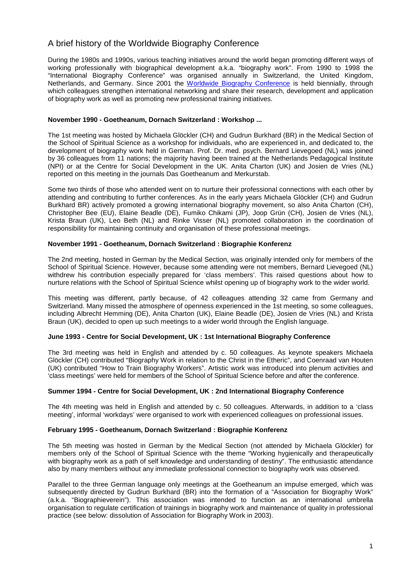# A brief history of the Worldwide Biography Conference

During the 1980s and 1990s, various teaching initiatives around the world began promoting different ways of working professionally with biographical development a.k.a. "biography work". From 1990 to 1998 the "International Biography Conference" was organised annually in Switzerland, the United Kingdom, Netherlands, and Germany. Since 2001 the [Worldwide Biography Conference](http://www.worldwidebiographyconference.com/) is held biennially, through which colleagues strengthen international networking and share their research, development and application of biography work as well as promoting new professional training initiatives.

## **November 1990 - Goetheanum, Dornach Switzerland : Workshop ...**

The 1st meeting was hosted by Michaela Glöckler (CH) and Gudrun Burkhard (BR) in the Medical Section of the School of Spiritual Science as a workshop for individuals, who are experienced in, and dedicated to, the development of biography work held in German. Prof. Dr. med. psych. Bernard Lievegoed (NL) was joined by 36 colleagues from 11 nations; the majority having been trained at the Netherlands Pedagogical Institute (NPI) or at the Centre for Social Development in the UK. Anita Charton (UK) and Josien de Vries (NL) reported on this meeting in the journals Das Goetheanum and Merkurstab.

Some two thirds of those who attended went on to nurture their professional connections with each other by attending and contributing to further conferences. As in the early years Michaela Glöckler (CH) and Gudrun Burkhard BR) actively promoted a growing international biography movement, so also Anita Charton (CH), Christopher Bee (EU), Elaine Beadle (DE), Fumiko Chikami (JP), Joop Grün (CH), Josien de Vries (NL), Krista Braun (UK), Leo Beth (NL) and Rinke Visser (NL) promoted collaboration in the coordination of responsibility for maintaining continuity and organisation of these professional meetings.

## **November 1991 - Goetheanum, Dornach Switzerland : Biographie Konferenz**

The 2nd meeting, hosted in German by the Medical Section, was originally intended only for members of the School of Spiritual Science. However, because some attending were not members, Bernard Lievegoed (NL) withdrew his contribution especially prepared for 'class members'. This raised questions about how to nurture relations with the School of Spiritual Science whilst opening up of biography work to the wider world.

This meeting was different, partly because, of 42 colleagues attending 32 came from Germany and Switzerland. Many missed the atmosphere of openness experienced in the 1st meeting, so some colleagues, including Albrecht Hemming (DE), Anita Charton (UK), Elaine Beadle (DE), Josien de Vries (NL) and Krista Braun (UK), decided to open up such meetings to a wider world through the English language.

## **June 1993 - Centre for Social Development, UK : 1st International Biography Conference**

The 3rd meeting was held in English and attended by c. 50 colleagues. As keynote speakers Michaela Glöckler (CH) contributed "Biography Work in relation to the Christ in the Etheric", and Coenraad van Houten (UK) contributed "How to Train Biography Workers". Artistic work was introduced into plenum activities and 'class meetings' were held for members of the School of Spiritual Science before and after the conference.

## **Summer 1994 - Centre for Social Development, UK : 2nd International Biography Conference**

The 4th meeting was held in English and attended by c. 50 colleagues. Afterwards, in addition to a 'class meeting', informal 'workdays' were organised to work with experienced colleagues on professional issues.

## **February 1995 - Goetheanum, Dornach Switzerland : Biographie Konferenz**

The 5th meeting was hosted in German by the Medical Section (not attended by Michaela Glöckler) for members only of the School of Spiritual Science with the theme "Working hygienically and therapeutically with biography work as a path of self knowledge and understanding of destiny". The enthusiastic attendance also by many members without any immediate professional connection to biography work was observed.

Parallel to the three German language only meetings at the Goetheanum an impulse emerged, which was subsequently directed by Gudrun Burkhard (BR) into the formation of a "Association for Biography Work" (a.k.a. "Biographieverein"). This association was intended to function as an international umbrella organisation to regulate certification of trainings in biography work and maintenance of quality in professional practice (see below: dissolution of Association for Biography Work in 2003).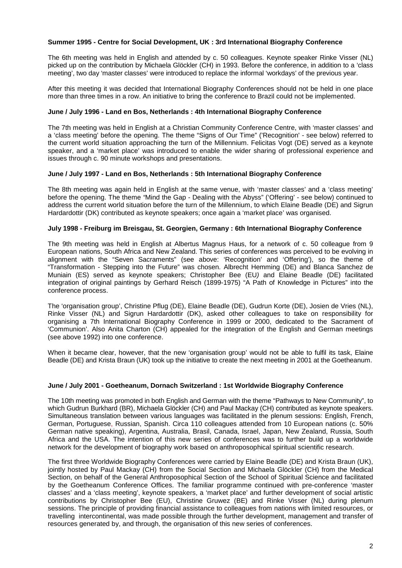## **Summer 1995 - Centre for Social Development, UK : 3rd International Biography Conference**

The 6th meeting was held in English and attended by c. 50 colleagues. Keynote speaker Rinke Visser (NL) picked up on the contribution by Michaela Glöckler (CH) in 1993. Before the conference, in addition to a 'class meeting', two day 'master classes' were introduced to replace the informal 'workdays' of the previous year.

After this meeting it was decided that International Biography Conferences should not be held in one place more than three times in a row. An initiative to bring the conference to Brazil could not be implemented.

## **June / July 1996 - Land en Bos, Netherlands : 4th International Biography Conference**

The 7th meeting was held in English at a Christian Community Conference Centre, with 'master classes' and a 'class meeting' before the opening. The theme "Signs of Our Time" ('Recognition' - see below) referred to the current world situation approaching the turn of the Millennium. Felicitas Vogt (DE) served as a keynote speaker, and a 'market place' was introduced to enable the wider sharing of professional experience and issues through c. 90 minute workshops and presentations.

## **June / July 1997 - Land en Bos, Netherlands : 5th International Biography Conference**

The 8th meeting was again held in English at the same venue, with 'master classes' and a 'class meeting' before the opening. The theme *"*Mind the Gap - Dealing with the Abyss" ('Offering' - see below) continued to address the current world situation before the turn of the Millennium, to which Elaine Beadle (DE) and Sigrun Hardardottir (DK) contributed as keynote speakers; once again a 'market place' was organised.

## **July 1998 - Freiburg im Breisgau, St. Georgien, Germany : 6th International Biography Conference**

The 9th meeting was held in English at Albertus Magnus Haus, for a network of c. 50 colleague from 9 European nations, South Africa and New Zealand. This series of conferences was perceived to be evolving in alignment with the "Seven Sacraments" (see above: 'Recognition' and 'Offering'), so the theme of "Transformation - Stepping into the Future" was chosen. Albrecht Hemming (DE) and Blanca Sanchez de Muniain (ES) served as keynote speakers; Christopher Bee (EU*)* and Elaine Beadle (DE) facilitated integration of original paintings by Gerhard Reisch (1899-1975) "A Path of Knowledge in Pictures" into the conference process.

The 'organisation group', Christine Pflug (DE), Elaine Beadle (DE), Gudrun Korte (DE), Josien de Vries (NL), Rinke Visser (NL) and Sigrun Hardardottir (DK), asked other colleagues to take on responsibility for organising a 7th International Biography Conference in 1999 or 2000, dedicated to the Sacrament of 'Communion'. Also Anita Charton (CH) appealed for the integration of the English and German meetings (see above 1992) into one conference.

When it became clear, however, that the new 'organisation group' would not be able to fulfil its task, Elaine Beadle (DE) and Krista Braun (UK) took up the initiative to create the next meeting in 2001 at the Goetheanum.

## **June / July 2001 - Goetheanum, Dornach Switzerland : 1st Worldwide Biography Conference**

The 10th meeting was promoted in both English and German with the theme "Pathways to New Community", to which Gudrun Burkhard (BR), Michaela Glöckler (CH) and Paul Mackay (CH) contributed as keynote speakers. Simultaneous translation between various languages was facilitated in the plenum sessions: English, French, German, Portuguese, Russian, Spanish. Circa 110 colleagues attended from 10 European nations (c. 50% German native speaking), Argentina, Australia, Brasil, Canada, Israel, Japan, New Zealand, Russia, South Africa and the USA. The intention of this new series of conferences was to further build up a worldwide network for the development of biography work based on anthroposophical spiritual scientific research.

The first three Worldwide Biography Conferences were carried by Elaine Beadle (DE) and Krista Braun (UK), jointly hosted by Paul Mackay (CH) from the Social Section and Michaela Glöckler (CH) from the Medical Section, on behalf of the General Anthroposophical Section of the School of Spiritual Science and facilitated by the Goetheanum Conference Offices. The familiar programme continued with pre-conference 'master classes' and a 'class meeting', keynote speakers, a 'market place' and further development of social artistic contributions by Christopher Bee (EU), Christine Gruwez (BE) and Rinke Visser (NL) during plenum sessions. The principle of providing financial assistance to colleagues from nations with limited resources, or travelling intercontinental, was made possible through the further development, management and transfer of resources generated by, and through, the organisation of this new series of conferences.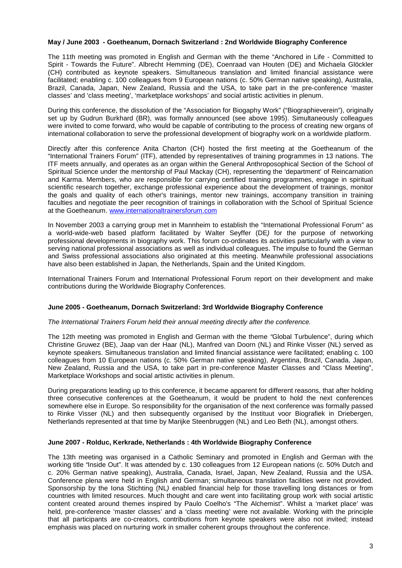## **May / June 2003 - Goetheanum, Dornach Switzerland : 2nd Worldwide Biography Conference**

The 11th meeting was promoted in English and German with the theme "Anchored in Life - Committed to Spirit - Towards the Future". Albrecht Hemming (DE), Coenraad van Houten (DE) and Michaela Glöckler (CH) contributed as keynote speakers. Simultaneous translation and limited financial assistance were facilitated; enabling c. 100 colleagues from 9 European nations (c. 50% German native speaking), Australia, Brazil, Canada, Japan, New Zealand, Russia and the USA, to take part in the pre-conference 'master classes' and 'class meeting', 'marketplace workshops' and social artistic activities in plenum.

During this conference, the dissolution of the "Association for Biogaphy Work" ("Biographieverein"), originally set up by Gudrun Burkhard (BR), was formally announced (see above 1995). Simultaneously colleagues were invited to come forward, who would be capable of contributing to the process of creating new organs of international collaboration to serve the professional development of biography work on a worldwide platform.

Directly after this conference Anita Charton (CH) hosted the first meeting at the Goetheanum of the "International Trainers Forum" (ITF), attended by representatives of training programmes in 13 nations. The ITF meets annually, and operates as an organ within the General Anthroposophical Section of the School of Spiritual Science under the mentorship of Paul Mackay (CH), representing the 'department' of Reincarnation and Karma. Members, who are responsible for carrying certified training programmes, engage in spiritual scientific research together, exchange professional experience about the development of trainings, monitor the goals and quality of each other's trainings, mentor new trainings, accompany transition in training faculties and negotiate the peer recognition of trainings in collaboration with the School of Spiritual Science at the Goetheanum. [www.internationaltrainersforum.com](https://internationaltrainersforum.com/)

In November 2003 a carrying group met in Mannheim to establish the "International Professional Forum" as a world-wide-web based platform facilitated by Walter Seyffer (DE*)* for the purpose of networking professional developments in biography work. This forum co-ordinates its activities particularly with a view to serving national professional associations as well as individual colleagues. The impulse to found the German and Swiss professional associations also originated at this meeting. Meanwhile professional associations have also been established in Japan, the Netherlands, Spain and the United Kingdom*.*

International Trainers Forum and International Professional Forum report on their development and make contributions during the Worldwide Biography Conferences.

## **June 2005 - Goetheanum, Dornach Switzerland: 3rd Worldwide Biography Conference**

## *The International Trainers Forum held their annual meeting directly after the conference.*

The 12th meeting was promoted in English and German with the theme *"*Global Turbulence", during which Christine Gruwez (BE), Jaap van der Haar (NL), Manfred van Doorn (NL) and Rinke Visser (NL) served as keynote speakers. Simultaneous translation and limited financial assistance were facilitated; enabling c. 100 colleagues from 10 European nations (c. 50% German native speaking), Argentina, Brazil, Canada, Japan, New Zealand, Russia and the USA, to take part in pre-conference Master Classes and "Class Meeting", Marketplace Workshops and social artistic activities in plenum.

During preparations leading up to this conference, it became apparent for different reasons, that after holding three consecutive conferences at the Goetheanum, it would be prudent to hold the next conferences somewhere else in Europe. So responsibility for the organisation of the next conference was formally passed to Rinke Visser (NL) and then subsequently organised by the Instituut voor Biografiek in Driebergen, Netherlands represented at that time by Marijke Steenbruggen (NL) and Leo Beth (NL), amongst others.

## **June 2007 - Rolduc, Kerkrade, Netherlands : 4th Worldwide Biography Conference**

The 13th meeting was organised in a Catholic Seminary and promoted in English and German with the working title *"*Inside Out". It was attended by c. 130 colleagues from 12 European nations (c. 50% Dutch and c. 20% German native speaking), Australia, Canada, Israel, Japan, New Zealand, Russia and the USA. Conference plena were held in English and German; simultaneous translation facilities were not provided. Sponsorship by the Iona Stichting (NL*)* enabled financial help for those travelling long distances or from countries with limited resources. Much thought and care went into facilitating group work with social artistic content created around themes inspired by Paulo Coelho's "The Alchemist". Whilst a 'market place' was held, pre-conference 'master classes' and a 'class meeting' were not available. Working with the principle that all participants are co-creators, contributions from keynote speakers were also not invited; instead emphasis was placed on nurturing work in smaller coherent groups throughout the conference.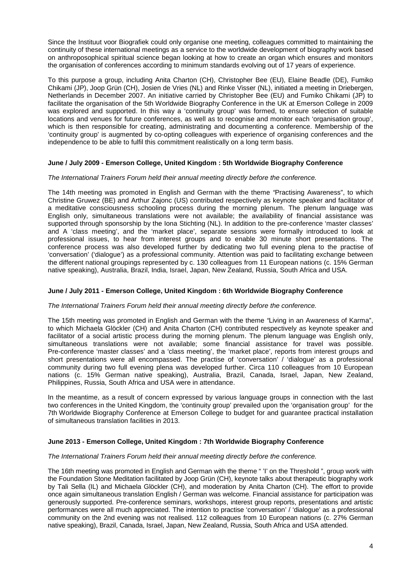Since the Instituut voor Biografiek could only organise one meeting, colleagues committed to maintaining the continuity of these international meetings as a service to the worldwide development of biography work based on anthroposophical spiritual science began looking at how to create an organ which ensures and monitors the organisation of conferences according to minimum standards evolving out of 17 years of experience.

To this purpose a group, including Anita Charton (CH), Christopher Bee (EU), Elaine Beadle (DE), Fumiko Chikami (JP), Joop Grün (CH), Josien de Vries (NL) and Rinke Visser (NL), initiated a meeting in Driebergen, Netherlands in December 2007. An initiative carried by Christopher Bee (EU) and Fumiko Chikami (JP) to facilitate the organisation of the 5th Worldwide Biography Conference in the UK at Emerson College in 2009 was explored and supported. In this way a 'continuity group' was formed, to ensure selection of suitable locations and venues for future conferences, as well as to recognise and monitor each 'organisation group', which is then responsible for creating, administrating and documenting a conference. Membership of the 'continuity group' is augmented by co-opting colleagues with experience of organising conferences and the independence to be able to fulfil this commitment realistically on a long term basis.

## **June / July 2009 - Emerson College, United Kingdom : 5th Worldwide Biography Conference**

## *The International Trainers Forum held their annual meeting directly before the conference.*

The 14th meeting was promoted in English and German with the theme *"*Practising Awareness", to which Christine Gruwez (BE) and Arthur Zajonc (US) contributed respectively as keynote speaker and facilitator of a meditative consciousness schooling process during the morning plenum. The plenum language was English only, simultaneous translations were not available; the availability of financial assistance was supported through sponsorship by the Iona Stichting (NL). In addition to the pre-conference 'master classes' and A 'class meeting', and the 'market place', separate sessions were formally introduced to look at professional issues, to hear from interest groups and to enable 30 minute short presentations. The conference process was also developed further by dedicating two full evening plena to the practise of 'conversation' ('dialogue') as a professional community. Attention was paid to facilitating exchange between the different national groupings represented by c. 130 colleagues from 11 European nations (c. 15% German native speaking), Australia, Brazil, India, Israel, Japan, New Zealand, Russia, South Africa and USA.

## **June / July 2011 - Emerson College, United Kingdom : 6th Worldwide Biography Conference**

## *The International Trainers Forum held their annual meeting directly before the conference.*

The 15th meeting was promoted in English and German with the theme *"*Living in an Awareness of Karma", to which Michaela Glöckler (CH) and Anita Charton (CH) contributed respectively as keynote speaker and facilitator of a social artistic process during the morning plenum. The plenum language was English only, simultaneous translations were not available; some financial assistance for travel was possible. Pre-conference 'master classes' and a 'class meeting', the 'market place', reports from interest groups and short presentations were all encompassed. The practise of 'conversation' / 'dialogue' as a professional community during two full evening plena was developed further. Circa 110 colleagues from 10 European nations (c. 15% German native speaking), Australia, Brazil, Canada, Israel, Japan, New Zealand, Philippines, Russia, South Africa and USA were in attendance.

In the meantime, as a result of concern expressed by various language groups in connection with the last two conferences in the United Kingdom, the 'continuity group' prevailed upon the 'organisation group' for the 7th Worldwide Biography Conference at Emerson College to budget for and guarantee practical installation of simultaneous translation facilities in 2013.

## **June 2013 - Emerson College, United Kingdom : 7th Worldwide Biography Conference**

## *The International Trainers Forum held their annual meeting directly before the conference.*

The 16th meeting was promoted in English and German with the theme " 'I' on the Threshold ", group work with the Foundation Stone Meditation facilitated by Joop Grün (CH), keynote talks about therapeutic biography work by Tali Sella (IL) and Michaela Glöckler (CH), and moderation by Anita Charton (CH). The effort to provide once again simultaneous translation English / German was welcome. Financial assistance for participation was generously supported. Pre-conference seminars, workshops, interest group reports, presentations and artistic performances were all much appreciated. The intention to practise 'conversation' / 'dialogue' as a professional community on the 2nd evening was not realised. 112 colleagues from 10 European nations (c. 27% German native speaking), Brazil, Canada, Israel, Japan, New Zealand, Russia, South Africa and USA attended.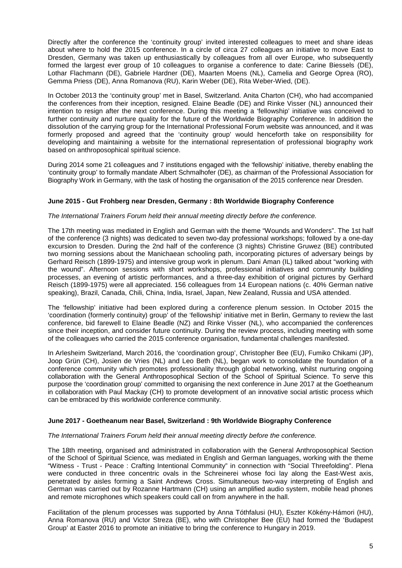Directly after the conference the 'continuity group' invited interested colleagues to meet and share ideas about where to hold the 2015 conference. In a circle of circa 27 colleagues an initiative to move East to Dresden, Germany was taken up enthusiastically by colleagues from all over Europe, who subsequently formed the largest ever group of 10 colleagues to organise a conference to date: Carine Biessels (DE), Lothar Flachmann (DE), Gabriele Hardner (DE), Maarten Moens (NL), Camelia and George Oprea (RO), Gemma Priess (DE), Anna Romanova (RU), Karin Weber (DE), Rita Weber-Wied, (DE).

In October 2013 the 'continuity group' met in Basel, Switzerland. Anita Charton (CH), who had accompanied the conferences from their inception, resigned. Elaine Beadle (DE) and Rinke Visser (NL) announced their intention to resign after the next conference. During this meeting a 'fellowship' initiative was conceived to further continuity and nurture quality for the future of the Worldwide Biography Conference. In addition the dissolution of the carrying group for the International Professional Forum website was announced, and it was formerly proposed and agreed that the 'continuity group' would henceforth take on responsibility for developing and maintaining a website for the international representation of professional biography work based on anthroposophical spiritual science.

During 2014 some 21 colleagues and 7 institutions engaged with the 'fellowship' initiative, thereby enabling the 'continuity group' to formally mandate Albert Schmalhofer (DE), as chairman of the Professional Association for Biography Work in Germany, with the task of hosting the organisation of the 2015 conference near Dresden.

## **June 2015 - Gut Frohberg near Dresden, Germany : 8th Worldwide Biography Conference**

## *The International Trainers Forum held their annual meeting directly before the conference.*

The 17th meeting was mediated in English and German with the theme "Wounds and Wonders". The 1st half of the conference (3 nights) was dedicated to seven two-day professional workshops; followed by a one-day excursion to Dresden. During the 2nd half of the conference (3 nights) Christine Gruwez (BE) contributed two morning sessions about the Manichaean schooling path, incorporating pictures of adversary beings by Gerhard Reisch (1899-1975) and intensive group work in plenum. Dani Aman (IL) talked about "working with the wound". Afternoon sessions with short workshops, professional initiatives and community building processes, an evening of artistic performances, and a three-day exhibition of original pictures by Gerhard Reisch (1899-1975) were all appreciated. 156 colleagues from 14 European nations (c. 40% German native speaking), Brazil, Canada, Chili, China, India, Israel, Japan, New Zealand, Russia and USA attended.

The 'fellowship' initiative had been explored during a conference plenum session. In October 2015 the 'coordination (formerly continuity) group' of the 'fellowship' initiative met in Berlin, Germany to review the last conference, bid farewell to Elaine Beadle (NZ) and Rinke Visser (NL), who accompanied the conferences since their inception, and consider future continuity. During the review process, including meeting with some of the colleagues who carried the 2015 conference organisation, fundamental challenges manifested.

In Arlesheim Switzerland, March 2016, the 'coordination group', Christopher Bee (EU), Fumiko Chikami (JP), Joop Grün (CH), Josien de Vries (NL) and Leo Beth (NL), began work to consolidate the foundation of a conference community which promotes professionality through global networking, whilst nurturing ongoing collaboration with the General Anthroposophical Section of the School of Spiritual Science. To serve this purpose the 'coordination group' committed to organising the next conference in June 2017 at the Goetheanum in collaboration with Paul Mackay (CH) to promote development of an innovative social artistic process which can be embraced by this worldwide conference community.

## **June 2017 - Goetheanum near Basel, Switzerland : 9th Worldwide Biography Conference**

## *The International Trainers Forum held their annual meeting directly before the conference.*

The 18th meeting, organised and administrated in collaboration with the General Anthroposophical Section of the School of Spiritual Science*,* was mediated in English and German languages, working with the theme "Witness - Trust - Peace : Crafting Intentional Community" in connection with "Social Threefolding". Plena were conducted in three concentric ovals in the Schreinerei whose foci lay along the East-West axis, penetrated by aisles forming a Saint Andrews Cross. Simultaneous two-way interpreting of English and German was carried out by Rozanne Hartmann (CH) using an amplified audio system, mobile head phones and remote microphones which speakers could call on from anywhere in the hall.

Facilitation of the plenum processes was supported by Anna Tóthfalusi (HU), Eszter Kökény-Hámori (HU), Anna Romanova (RU) and Victor Streza (BE), who with Christopher Bee (EU) had formed the 'Budapest Group' at Easter 2016 to promote an initiative to bring the conference to Hungary in 2019.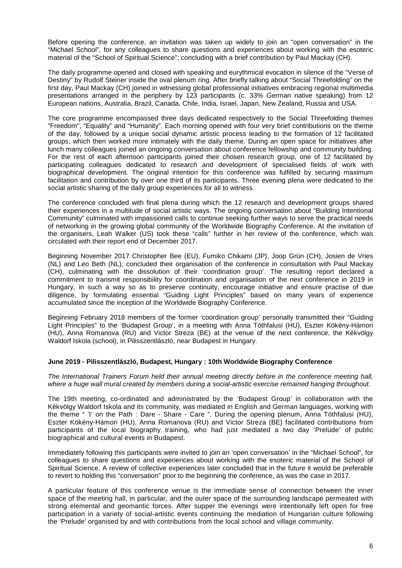Before opening the conference, an invitation was taken up widely to join an "open conversation" in the "Michael School", for any colleagues to share questions and experiences about working with the esoteric material of the "School of Spiritual Science"; concluding with a brief contribution by Paul Mackay (CH).

The daily programme opened and closed with speaking and eurythmical evocation in silence of the "Verse of Destiny" by Rudolf Steiner inside the oval plenum ring. After briefly talking about "Social Threefolding" on the first day, Paul Mackay (CH) joined in witnessing global professional initiatives embracing regional multimedia presentations arranged in the periphery by 123 participants (c. 33% German native speaking) from 12 European nations, Australia, Brazil, Canada, Chile, India, Israel, Japan, New Zealand, Russia and USA.

The core programme encompassed three days dedicated respectively to the Social Threefolding themes "Freedom", "Equality" and "Humanity". Each morning opened with four very brief contributions on the theme of the day, followed by a unique social dynamic artistic process leading to the formation of 12 facilitated groups, which then worked more intimately with the daily theme. During an open space for initiatives after lunch many colleagues joined an ongoing conversation about conference fellowship and community building. For the rest of each afternoon participants joined their chosen research group, one of 12 facilitated by participating colleagues dedicated to research and development of specialised fields of work with biographical development. The original intention for this conference was fulfilled by securing maximum facilitation and contribution by over one third of its participants. Three evening plena were dedicated to the social artistic sharing of the daily group experiences for all to witness.

The conference concluded with final plena during which the 12 research and development groups shared their experiences in a multitude of social artistic ways. The ongoing conversation about "Building Intentional Community" culminated with impassioned calls to continue seeking further ways to serve the practical needs of networking in the growing global community of the Worldwide Biography Conference. At the invitation of the organisers, Leah Walker (US) took these "calls" further in her review of the conference, which was circulated with their report end of December 2017.

Beginning November 2017 Christopher Bee (EU), Fumiko Chikami (JP), Joop Grün (CH), Josien de Vries (NL) and Leo Beth (NL), concluded their organisation of the conference in consultation with Paul Mackay (CH), culminating with the dissolution of their 'coordination group'. The resulting report declared a commitment to transmit responsibility for coordination and organisation of the next conference in 2019 in Hungary, in such a way so as to preserve continuity, encourage initiative and ensure practise of due diligence, by formulating essential "Guiding Light Principles" based on many years of experience accumulated since the inception of the Worldwide Biography Conference.

Beginning February 2018 members of the former 'coordination group' personally transmitted their "Guiding Light Principles" to the 'Budapest Group', in a meeting with Anna Tóthfalusi (HU), Eszter Kökény-Hámori (HU), Anna Romanova (RU) and Victor Streza (BE) at the venue of the next conference, the Kékvölgy Waldorf Iskola (school), in Pilisszentlászló, near Budapest in Hungary.

## **June 2019 - Pilisszentlászló, Budapest, Hungary : 10th Worldwide Biography Conference**

*The International Trainers Forum held their annual meeting directly before in the conference meeting hall, where a huge wall mural created by members during a social-artistic exercise remained hanging throughout.*

The 19th meeting, co-ordinated and administrated by the 'Budapest Group' in collaboration with the Kékvölgy Waldorf Iskola and its community*,* was mediated in English and German languages, working with the theme " 'I' on the Path : Dare - Share - Care ". During the opening plenum, Anna Tóthfalusi (HU), Eszter Kökény-Hámori (HU), Anna Romanova (RU) and Victor Streza (BE) facilitated contributions from participants of the local biography training, who had just mediated a two day 'Prelude' of public biographical and cultural events in Budapest.

Immediately following this participants were invited to join an 'open conversation' in the "Michael School", for colleagues to share questions and experiences about working with the esoteric material of the School of Spiritual Science. A review of collective experiences later concluded that in the future it would be preferable to revert to holding this "conversation" prior to the beginning the conference, as was the case in 2017.

A particular feature of this conference venue is the immediate sense of connection between the inner space of the meeting hall, in particular, and the outer space of the surrounding landscape permeated with strong elemental and geomantic forces. After supper the evenings were intentionally left open for free participation in a variety of social-artistic events continuing the mediation of Hungarian culture following the 'Prelude' organised by and with contributions from the local school and village community.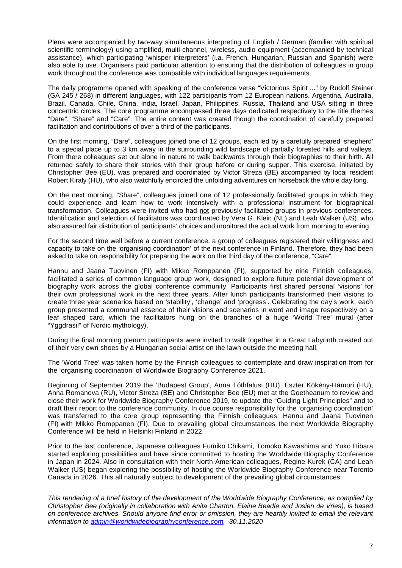Plena were accompanied by two-way simultaneous interpreting of English / German (familiar with spiritual scientific terminology) using amplified, multi-channel, wireless, audio equipment (accompanied by technical assistance), which participating 'whisper interpreters' (i.a. French, Hungarian, Russian and Spanish) were also able to use. Organisers paid particular attention to ensuring that the distribution of colleagues in group work throughout the conference was compatible with individual languages requirements.

The daily programme opened with speaking of the conference verse "Victorious Spirit ..." by Rudolf Steiner (GA 245 / 268) in different languages, with 122 participants from 12 European nations, Argentina, Australia, Brazil, Canada, Chile, China, India, Israel, Japan, Philippines, Russia, Thailand and USA sitting in three concentric circles. The core programme encompassed three days dedicated respectively to the title themes "Dare", "Share" and "Care". The entire content was created though the coordination of carefully prepared facilitation and contributions of over a third of the participants.

On the first morning, "Dare", colleagues joined one of 12 groups, each led by a carefully prepared 'shepherd' to a special place up to 3 km away in the surrounding wild landscape of partially forested hills and valleys. From there colleagues set out alone in nature to walk backwards through their biographies to their birth. All returned safely to share their stories with their group before or during supper. This exercise, initiated by Christopher Bee (EU), was prepared and coordinated by Victor Streza (BE) accompanied by local resident Robert Kiraly (HU), who also watchfully encircled the unfolding adventures on horseback the whole day long.

On the next morning, "Share", colleagues joined one of 12 professionally facilitated groups in which they could experience and learn how to work intensively with a professional instrument for biographical transformation. Colleagues were invited who had not previously facilitated groups in previous conferences. Identification and selection of facilitators was coordinated by Vera G. Klein (NL) and Leah Walker (US), who also assured fair distribution of participants' choices and monitored the actual work from morning to evening.

For the second time well before a current conference, a group of colleagues registered their willingness and capacity to take on the 'organising coordination' of the next conference in Finland. Therefore, they had been asked to take on responsibility for preparing the work on the third day of the conference, "Care".

Hannu and Jaana Tuovinen (FI) with Mikko Romppanen (FI), supported by nine Finnish colleagues, facilitated a series of common language group work, designed to explore future potential development of biography work across the global conference community. Participants first shared personal 'visions' for their own professional work in the next three years. After lunch participants transformed their visions to create three year scenarios based on 'stability', 'change' and 'progress'. Celebrating the day's work, each group presented a communal essence of their visions and scenarios in word and image respectively on a leaf shaped card, which the facilitators hung on the branches of a huge 'World Tree' mural (after "Yggdrasil" of Nordic mythology).

During the final morning plenum participants were invited to walk together in a Great Labyrinth created out of their very own shoes by a Hungarian social artist on the lawn outside the meeting hall.

The 'World Tree' was taken home by the Finnish colleagues to contemplate and draw inspiration from for the 'organising coordination' of Worldwide Biography Conference 2021.

Beginning of September 2019 the 'Budapest Group', Anna Tóthfalusi (HU), Eszter Kökény-Hámori (HU), Anna Romanova (RU), Victor Streza (BE) and Christopher Bee (EU) met at the Goetheanum to review and close their work for Worldwide Biography Conference 2019, to update the "Guiding Light Principles" and to draft their report to the conference community. In due course responsibility for the 'organising coordination' was transferred to the core group representing the Finnish colleagues: Hannu and Jaana Tuovinen (FI) with Mikko Romppanen (FI). Due to prevailing global circumstances the next Worldwide Biography Conference will be held in Helsinki Finland in 2022.

Prior to the last conference, Japanese colleagues Fumiko Chikami, Tomoko Kawashima and Yuko Hibara started exploring possibilities and have since committed to hosting the Worldwide Biography Conference in Japan in 2024. Also in consultation with their North American colleagues, Regine Kurek (CA) and Leah Walker (US) began exploring the possibility of hosting the Worldwide Biography Conference near Toronto Canada in 2026. This all naturally subject to development of the prevailing global circumstances.

*This rendering of a brief history of the development of the Worldwide Biography Conference, as compiled by Christopher Bee (originally in collaboration with Anita Charton, Elaine Beadle and Josien de Vries), is based on conference archives. Should anyone find error or omission, they are heartily invited to email the relevant information to [admin@worldwidebiographyconference.com.](mailto:admin@worldwidebiographyconference.com) 30.11.2020*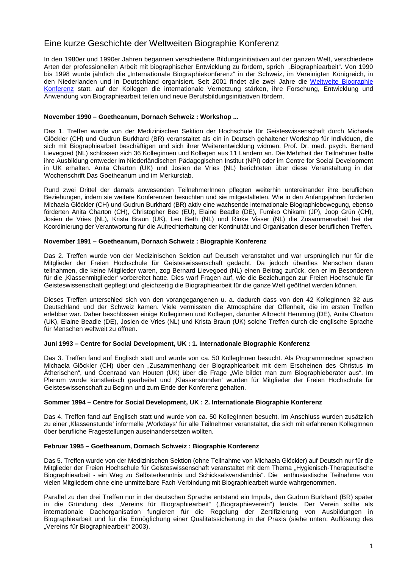# Eine kurze Geschichte der Weltweiten Biographie Konferenz

In den 1980er und 1990er Jahren begannen verschiedene Bildungsinitiativen auf der ganzen Welt, verschiedene Arten der professionellen Arbeit mit biographischer Entwicklung zu fördern, sprich "Biographiearbeit". Von 1990 bis 1998 wurde jährlich die "Internationale Biographiekonferenz" in der Schweiz, im Vereinigten Königreich, in den Niederlanden und in Deutschland organisiert. Seit 2001 findet alle zwei Jahre die [Weltweite Biographie](http://www.worldwidebiographyconference.com/)  [Konferenz](http://www.worldwidebiographyconference.com/) statt, auf der Kollegen die internationale Vernetzung stärken, ihre Forschung, Entwicklung und Anwendung von Biographiearbeit teilen und neue Berufsbildungsinitiativen fördern.

## **November 1990 – Goetheanum, Dornach Schweiz : Workshop ...**

Das 1. Treffen wurde von der Medizinischen Sektion der Hochschule für Geisteswissenschaft durch Michaela Glöckler (CH) und Gudrun Burkhard (BR) veranstaltet als ein in Deutsch gehaltener Workshop für Individuen, die sich mit Biographiearbeit beschäftigen und sich ihrer Weiterentwicklung widmen. Prof. Dr. med. psych. Bernard Lievegoed (NL) schlossen sich 36 Kolleginnen und Kollegen aus 11 Ländern an. Die Mehrheit der Teilnehmer hatte ihre Ausbildung entweder im Niederländischen Pädagogischen Institut (NPI) oder im Centre for Social Development in UK erhalten. Anita Charton (UK) und Josien de Vries (NL) berichteten über diese Veranstaltung in der Wochenschrift Das Goetheanum und im Merkurstab.

Rund zwei Drittel der damals anwesenden TeilnehmerInnen pflegten weiterhin untereinander ihre beruflichen Beziehungen, indem sie weitere Konferenzen besuchten und sie mitgestalteten. Wie in den Anfangsjahren förderten Michaela Glöckler (CH) und Gudrun Burkhard (BR) aktiv eine wachsende internationale Biographiebewegung, ebenso förderten Anita Charton (CH), Christopher Bee (EU), Elaine Beadle (DE), Fumiko Chikami (JP), Joop Grün (CH), Josien de Vries (NL), Krista Braun (UK), Leo Beth (NL) und Rinke Visser (NL) die Zusammenarbeit bei der Koordinierung der Verantwortung für die Aufrechterhaltung der Kontinuität und Organisation dieser beruflichen Treffen.

## **November 1991 – Goetheanum, Dornach Schweiz : Biographie Konferenz**

Das 2. Treffen wurde von der Medizinischen Sektion auf Deutsch veranstaltet und war ursprünglich nur für die Mitglieder der Freien Hochschule für Geisteswissenschaft gedacht. Da jedoch überdies Menschen daran teilnahmen, die keine Mitglieder waren, zog Bernard Lievegoed (NL) einen Beitrag zurück, den er im Besonderen für die Klassenmitglieder<sup>t</sup> vorbereitet hatte. Dies warf Fragen auf, wie die Beziehungen zur Freien Hochschule für Geisteswissenschaft gepflegt und gleichzeitig die Biographiearbeit für die ganze Welt geöffnet werden können.

Dieses Treffen unterschied sich von den vorangegangenen u. a. dadurch dass von den 42 KollegInnen 32 aus Deutschland und der Schweiz kamen. Viele vermissten die Atmosphäre der Offenheit, die im ersten Treffen erlebbar war. Daher beschlossen einige Kolleginnen und Kollegen, darunter Albrecht Hemming (DE), Anita Charton (UK), Elaine Beadle (DE), Josien de Vries (NL) und Krista Braun (UK) solche Treffen durch die englische Sprache für Menschen weltweit zu öffnen.

## **Juni 1993 – Centre for Social Development, UK : 1. Internationale Biographie Konferenz**

Das 3. Treffen fand auf Englisch statt und wurde von ca. 50 KollegInnen besucht. Als Programmredner sprachen Michaela Glöckler (CH) über den "Zusammenhang der Biographiearbeit mit dem Erscheinen des Christus im Ätherischen", und Coenraad van Houten (UK) über die Frage "Wie bildet man zum Biographieberater aus". Im Plenum wurde künstlerisch gearbeitet und 'Klassenstunden' wurden für Mitglieder der Freien Hochschule für Geisteswissenschaft zu Beginn und zum Ende der Konferenz gehalten.

# **Sommer 1994 – Centre for Social Development, UK : 2. Internationale Biographie Konferenz**

Das 4. Treffen fand auf Englisch statt und wurde von ca. 50 KollegInnen besucht. Im Anschluss wurden zusätzlich zu einer 'Klassenstunde' informelle 'Workdays' für alle Teilnehmer veranstaltet, die sich mit erfahrenen KollegInnen über berufliche Fragestellungen auseinandersetzen wollten.

# **Februar 1995 – Goetheanum, Dornach Schweiz : Biographie Konferenz**

Das 5. Treffen wurde von der Medizinischen Sektion (ohne Teilnahme von Michaela Glöckler) auf Deutsch nur für die Mitglieder der Freien Hochschule für Geisteswissenschaft veranstaltet mit dem Thema "Hygienisch-Therapeutische Biographiearbeit - ein Weg zu Selbsterkenntnis und Schicksalsverständnis". Die enthusiastische Teilnahme von vielen Mitgliedern ohne eine unmittelbare Fach-Verbindung mit Biographiearbeit wurde wahrgenommen.

Parallel zu den drei Treffen nur in der deutschen Sprache entstand ein Impuls, den Gudrun Burkhard (BR) später in die Gründung des "Vereins für Biographiearbeit" ("Biographieverein") lenkte. Der Verein sollte als internationale Dachorganisation fungieren für die Regelung der Zertifizierung von Ausbildungen in Biographiearbeit und für die Ermöglichung einer Qualitätssicherung in der Praxis (siehe unten: Auflösung des "Vereins für Biographiearbeit" 2003).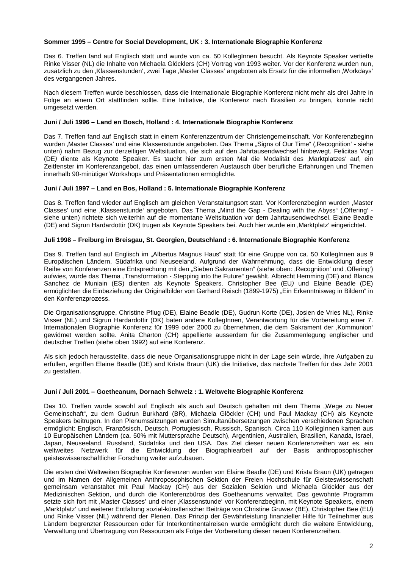## **Sommer 1995 – Centre for Social Development, UK : 3. Internationale Biographie Konferenz**

Das 6. Treffen fand auf Englisch statt und wurde von ca. 50 KollegInnen besucht. Als Keynote Speaker vertiefte Rinke Visser (NL) die Inhalte von Michaela Glöcklers (CH) Vortrag von 1993 weiter. Vor der Konferenz wurden nun, zusätzlich zu den Klassenstunden', zwei Tage 'Master Classes' angeboten als Ersatz für die informellen 'Workdays des vergangenen Jahres.

Nach diesem Treffen wurde beschlossen, dass die Internationale Biographie Konferenz nicht mehr als drei Jahre in Folge an einem Ort stattfinden sollte. Eine Initiative, die Konferenz nach Brasilien zu bringen, konnte nicht umgesetzt werden.

## **Juni / Juli 1996 – Land en Bosch, Holland : 4. Internationale Biographie Konferenz**

Das 7. Treffen fand auf Englisch statt in einem Konferenzzentrum der Christengemeinschaft. Vor Konferenzbeginn wurden , Master Classes' und eine Klassenstunde angeboten. Das Thema "Signs of Our Time" ("Recognition' - siehe unten) nahm Bezug zur derzeitigen Weltsituation, die sich auf den Jahrtausendwechsel hinbewegt. Felicitas Vogt (DE*)* diente als Keynote Speaker. Es taucht hier zum ersten Mal die Modalität des 'Marktplatzes' auf, ein Zeitfenster im Konferenzangebot, das einen umfassenderen Austausch über berufliche Erfahrungen und Themen innerhalb 90-minütiger Workshops und Präsentationen ermöglichte.

#### **Juni / Juli 1997 – Land en Bos, Holland : 5. Internationale Biographie Konferenz**

Das 8. Treffen fand wieder auf Englisch am gleichen Veranstaltungsort statt. Vor Konferenzbeginn wurden 'Master Classes' und eine 'Klassenstunde' angeboten. Das Thema *"*Mind the Gap - Dealing with the Abyss" ('Offering' siehe unten) richtete sich weiterhin auf die momentane Weltsituation vor dem Jahrtausendwechsel. Elaine Beadle (DE) and Sigrun Hardardottir (DK) trugen als Keynote Speakers bei. Auch hier wurde ein 'Marktplatz' eingerichtet.

#### **Juli 1998 – Freiburg im Breisgau, St. Georgien, Deutschland : 6. Internationale Biographie Konferenz**

Das 9. Treffen fand auf Englisch im "Albertus Magnus Haus" statt für eine Gruppe von ca. 50 KollegInnen aus 9 Europäischen Ländern, Südafrika und Neuseeland. Aufgrund der Wahrnehmung, dass die Entwicklung dieser Reihe von Konferenzen eine Entsprechung mit den "Sieben Sakramenten" (siehe oben: 'Recognition' und 'Offering') aufwies, wurde das Thema "Transformation - Stepping into the Future" gewählt. Albrecht Hemming (DE) and Blanca Sanchez de Muniain (ES) dienten als Keynote Speakers. Christopher Bee (EU*)* und Elaine Beadle (DE) ermöglichten die Einbeziehung der Originalbilder von Gerhard Reisch (1899-1975) "Ein Erkenntnisweg in Bildern" in den Konferenzprozess.

Die Organisationsgruppe, Christine Pflug (DE), Elaine Beadle (DE), Gudrun Korte (DE), Josien de Vries NL), Rinke Visser (NL) und Sigrun Hardardottir (DK) baten andere KollegInnen, Verantwortung für die Vorbereitung einer 7. Internationalen Biographie Konferenz für 1999 oder 2000 zu übernehmen, die dem Sakrament der 'Kommunion' gewidmet werden sollte. Anita Charton (CH) appellierte ausserdem für die Zusammenlegung englischer und deutscher Treffen (siehe oben 1992) auf eine Konferenz.

Als sich jedoch herausstellte, dass die neue Organisationsgruppe nicht in der Lage sein würde, ihre Aufgaben zu erfüllen, ergriffen Elaine Beadle (DE) and Krista Braun (UK) die Initiative, das nächste Treffen für das Jahr 2001 zu gestalten.

#### **Juni / Juli 2001 – Goetheanum, Dornach Schweiz : 1. Weltweite Biographie Konferenz**

Das 10. Treffen wurde sowohl auf Englisch als auch auf Deutsch gehalten mit dem Thema "Wege zu Neuer Gemeinschaft", zu dem Gudrun Burkhard (BR), Michaela Glöckler (CH) und Paul Mackay (CH) als Keynote Speakers beitrugen. In den Plenumssitzungen wurden Simultanübersetzungen zwischen verschiedenen Sprachen ermöglicht: Englisch, Französisch, Deutsch, Portugiesisch, Russisch, Spanisch. Circa 110 KollegInnen kamen aus 10 Europäischen Ländern (ca. 50% mit Muttersprache Deutsch), Argentinien, Australien, Brasilien, Kanada, Israel, Japan, Neuseeland, Russland, Südafrika und den USA. Das Ziel dieser neuen Konferenzreihen war es, ein weltweites Netzwerk für die Entwicklung der Biographiearbeit auf der Basis anthroposophischer geisteswissenschaftlicher Forschung weiter aufzubauen.

Die ersten drei Weltweiten Biographie Konferenzen wurden von Elaine Beadle (DE) und Krista Braun (UK) getragen und im Namen der Allgemeinen Anthroposophischen Sektion der Freien Hochschule für Geisteswissenschaft gemeinsam veranstaltet mit Paul Mackay (CH) aus der Sozialen Sektion und Michaela Glöckler aus der Medizinischen Sektion, und durch die Konferenzbüros des Goetheanums verwaltet. Das gewohnte Programm setzte sich fort mit 'Master Classes' und einer 'Klassenstunde' vor Konferenzbeginn, mit Keynote Speakers, einem 'Marktplatz' und weiterer Entfaltung sozial-künstlerischer Beiträge von Christine Gruwez (BE), Christopher Bee (EU) und Rinke Visser (NL) während der Plenen. Das Prinzip der Gewährleistung finanzieller Hilfe für Teilnehmer aus Ländern begrenzter Ressourcen oder für Interkontinentalreisen wurde ermöglicht durch die weitere Entwicklung, Verwaltung und Übertragung von Ressourcen als Folge der Vorbereitung dieser neuen Konferenzreihen.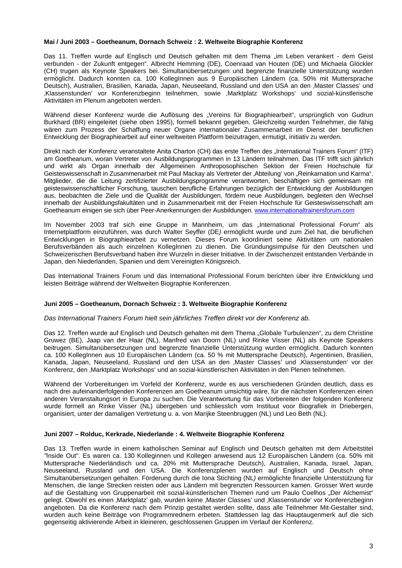#### **Mai / Juni 2003 – Goetheanum, Dornach Schweiz : 2. Weltweite Biographie Konferenz**

Das 11. Treffen wurde auf Englisch und Deutsch gehalten mit dem Thema "im Leben verankert - dem Geist verbunden - der Zukunft entgegen". Albrecht Hemming (DE), Coenraad van Houten (DE) und Michaela Glöckler (CH) trugen als Keynote Speakers bei. Simultanübersetzungen und begrenzte finanzielle Unterstützung wurden ermöglicht. Dadurch konnten ca. 100 KollegInnen aus 9 Europäischen Ländern (ca. 50% mit Muttersprache Deutsch), Australien, Brasilien, Kanada, Japan, Neuseeland, Russland und den USA an den ,Master Classes' und 'Klassenstunden' vor Konferenzbeginn teilnehmen, sowie 'Marktplatz Workshops' und sozial-künstlerische Aktivitäten im Plenum angeboten werden.

Während dieser Konferenz wurde die Auflösung des "Vereins für Biographiearbeit", ursprünglich von Gudrun Burkhard (BR) eingeleitet (siehe oben 1995), formell bekannt gegeben. Gleichzeitig wurden Teilnehmer, die fähig wären zum Prozess der Schaffung neuer Organe internationaler Zusammenarbeit im Dienst der beruflichen Entwicklung der Biographiearbeit auf einer weltweiten Plattform beizutragen, ermutigt, initiativ zu werden.

Direkt nach der Konferenz veranstaltete Anita Charton (CH) das erste Treffen des "International Trainers Forum" (ITF) am Goetheanum, woran Vertreter von Ausbildungsprogrammen in 13 Ländern teilnahmen. Das ITF trifft sich jährlich und wirkt als Organ innerhalb der Allgemeinen Anthroposophischen Sektion der Freien Hochschule für Geisteswissenschaft in Zusammenarbeit mit Paul Mackay als Vertreter der "Abteilung' von "Reinkarnation und Karma". Mitglieder, die die Leitung zertifizierter Ausbildungsprogramme verantworten, beschäftigen sich gemeinsam mit geisteswissenschaftlicher Forschung, tauschen berufliche Erfahrungen bezüglich der Entwicklung der Ausbildungen aus, beobachten die Ziele und die Qualität der Ausbildungen, fördern neue Ausbildungen, begleiten den Wechsel innerhalb der Ausbildungsfakultäten und in Zusammenarbeit mit der Freien Hochschule für Geisteswissenschaft am Goetheanum einigen sie sich über Peer-Anerkennungen der Ausbildungen. [www.internationaltrainersforum.com](https://internationaltrainersforum.com/)

Im November 2003 traf sich eine Gruppe in Mannheim, um das "International Professional Forum" als Internetplattform einzuführen, was durch Walter Seyffer (DE*)* ermöglicht wurde und zum Ziel hat, die beruflichen Entwicklungen in Biographiearbeit zu vernetzen. Dieses Forum koordiniert seine Aktivitäten um nationalen Berufsverbänden als auch einzelnen KollegInnen zu dienen. Die Gründungsimpulse für den Deutschen und Schweizerischen Berufsverband haben ihre Wurzeln in dieser Initiative. In der Zwischenzeit entstanden Verbände in Japan, den Niederlanden, Spanien und dem Vereinigten Königsreich.

Das International Trainers Forum und das International Professional Forum berichten über ihre Entwicklung und leisten Beiträge während der Weltweiten Biographie Konferenzen.

#### **Juni 2005 – Goetheanum, Dornach Schweiz : 3. Weltweite Biographie Konferenz**

#### *Das International Trainers Forum hielt sein jährliches Treffen direkt vor der Konferenz ab.*

Das 12. Treffen wurde auf Englisch und Deutsch gehalten mit dem Thema "Globale Turbulenzen", zu dem Christine Gruwez (BE), Jaap van der Haar (NL), Manfred van Doorn (NL) und Rinke Visser (NL) als Keynote Speakers beitrugen. Simultanübersetzungen und begrenzte finanzielle Unterstützung wurden ermöglicht. Dadurch konnten ca. 100 KollegInnen aus 10 Europäischen Ländern (ca. 50 % mit Muttersprache Deutsch), Argentinien, Brasilien, Kanada, Japan, Neuseeland, Russland und den USA an den ,Master Classes' und ,Klassenstunden' vor der Konferenz, den 'Marktplatz Workshops' und an sozial-künstlerischen Aktivitäten in den Plenen teilnehmen.

Während der Vorbereitungen im Vorfeld der Konferenz, wurde es aus verschiedenen Gründen deutlich, dass es nach drei aufeinanderfolgenden Konferenzen am Goetheanum umsichtig wäre, für die nächsten Konferenzen einen anderen Veranstaltungsort in Europa zu suchen. Die Verantwortung für das Vorbereiten der folgenden Konferenz wurde formell an Rinke Visser (NL) übergeben und schliesslich vom Instituut voor Biografiek in Driebergen, organisiert, unter der damaligen Vertretung u. a. von Marijke Steenbruggen (NL) und Leo Beth (NL).

#### **Juni 2007 – Rolduc, Kerkrade, Niederlande : 4. Weltweite Biographie Konferenz**

Das 13. Treffen wurde in einem katholischen Seminar auf Englisch und Deutsch gehalten mit dem Arbeitstitel *"*Inside Out". Es waren ca. 130 Kolleginnen und Kollegen anwesend aus 12 Europäischen Ländern (ca. 50% mit Muttersprache Niederländisch und ca. 20% mit Muttersprache Deutsch), Australien, Kanada, Israel, Japan, Neuseeland, Russland und den USA. Die Konferenzplenen wurden auf Englisch und Deutsch ohne Simultanübersetzungen gehalten. Förderung durch die Iona Stichting (NL*)* ermöglichte finanzielle Unterstützung für Menschen, die lange Strecken reisten oder aus Ländern mit begrenzten Ressourcen kamen. Grosser Wert wurde auf die Gestaltung von Gruppenarbeit mit sozial-künstlerischen Themen rund um Paulo Coelhos "Der Alchemist" gelegt. Obwohl es einen 'Marktplatz' gab, wurden keine 'Master Classes' und 'Klassenstunde' vor Konferenzbeginn angeboten. Da die Konferenz nach dem Prinzip gestaltet werden sollte, dass alle Teilnehmer Mit-Gestalter sind, wurden auch keine Beiträge von Programmrednern erbeten. Stattdessen lag das Hauptaugenmerk auf die sich gegenseitig aktivierende Arbeit in kleineren, geschlossenen Gruppen im Verlauf der Konferenz.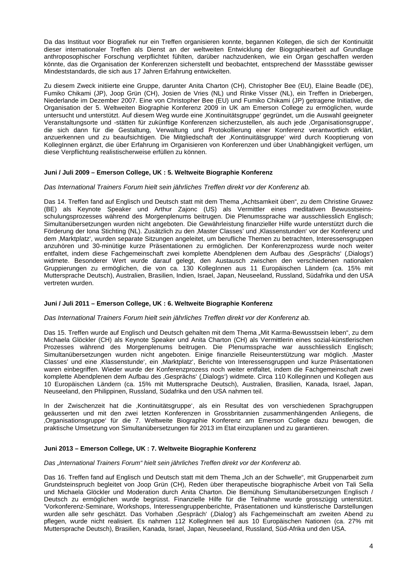Da das Instituut voor Biografiek nur ein Treffen organisieren konnte, begannen Kollegen, die sich der Kontinuität dieser internationaler Treffen als Dienst an der weltweiten Entwicklung der Biographiearbeit auf Grundlage anthroposophischer Forschung verpflichtet fühlten, darüber nachzudenken, wie ein Organ geschaffen werden könnte, das die Organisation der Konferenzen sicherstellt und beobachtet, entsprechend der Massstäbe gewisser Mindeststandards, die sich aus 17 Jahren Erfahrung entwickelten.

Zu diesem Zweck initiierte eine Gruppe, darunter Anita Charton (CH), Christopher Bee (EU), Elaine Beadle (DE), Fumiko Chikami (JP), Joop Grün (CH), Josien de Vries (NL) und Rinke Visser (NL), ein Treffen in Driebergen, Niederlande im Dezember 2007. Eine von Christopher Bee (EU) und Fumiko Chikami (JP) getragene Initiative, die Organisation der 5. Weltweiten Biographie Konferenz 2009 in UK am Emerson College zu ermöglichen, wurde untersucht und unterstützt. Auf diesem Weg wurde eine 'Kontinuitätsgruppe' gegründet, um die Auswahl geeigneter Veranstaltungsorte und -stätten für zukünftige Konferenzen sicherzustellen, als auch jede 'Organisationsgruppe', die sich dann für die Gestaltung, Verwaltung und Protokollierung einer Konferenz verantwortlich erklärt, anzuerkennen und zu beaufsichtigen. Die Mitgliedschaft der "Kontinuitätsgruppe' wird durch Kooptierung von KollegInnen ergänzt, die über Erfahrung im Organisieren von Konferenzen und über Unabhängigkeit verfügen, um diese Verpflichtung realistischerweise erfüllen zu können.

## **Juni / Juli 2009 – Emerson College, UK : 5. Weltweite Biographie Konferenz**

## *Das International Trainers Forum hielt sein jährliches Treffen direkt vor der Konferenz ab.*

Das 14. Treffen fand auf Englisch und Deutsch statt mit dem Thema *"*Achtsamkeit üben", zu dem Christine Gruwez (BE) als Keynote Speaker und Arthur Zajonc (US) als Vermittler eines meditativen Bewusstseinsschulungsprozesses während des Morgenplenums beitrugen. Die Plenumssprache war ausschliesslich Englisch; Simultanübersetzungen wurden nicht angeboten. Die Gewährleistung finanzieller Hilfe wurde unterstützt durch die Förderung der Iona Stichting (NL). Zusätzlich zu den 'Master Classes' und 'Klassenstunden' vor der Konferenz und dem 'Marktplatz', wurden separate Sitzungen angeleitet, um berufliche Themen zu betrachten, Interessensgruppen anzuhören und 30-minütige kurze Präsentationen zu ermöglichen. Der Konferenzprozess wurde noch weiter entfaltet, indem diese Fachgemeinschaft zwei komplette Abendplenen dem Aufbau des ,Gesprächs' (,Dialogs') widmete. Besonderer Wert wurde darauf gelegt, den Austausch zwischen den verschiedenen nationalen Gruppierungen zu ermöglichen, die von ca. 130 KollegInnen aus 11 Europäischen Ländern (ca. 15% mit Muttersprache Deutsch), Australien, Brasilien, Indien, Israel, Japan, Neuseeland, Russland, Südafrika und den USA vertreten wurden.

## **Juni / Juli 2011 – Emerson College, UK : 6. Weltweite Biographie Konferenz**

#### *Das International Trainers Forum hielt sein jährliches Treffen direkt vor der Konferenz ab.*

Das 15. Treffen wurde auf Englisch und Deutsch gehalten mit dem Thema "Mit Karma-Bewusstsein leben", zu dem Michaela Glöckler (CH) als Keynote Speaker und Anita Charton (CH) als Vermittlerin eines sozial-künstlerischen Prozesses während des Morgenplenums beitrugen. Die Plenumssprache war ausschliesslich Englisch; Simultanübersetzungen wurden nicht angeboten. Einige finanzielle Reiseunterstützung war möglich. "Master Classes' und eine 'Klassenstunde', ein 'Marktplatz', Berichte von Interessensgruppen und kurze Präsentationen waren einbegriffen. Wieder wurde der Konferenzprozess noch weiter entfaltet, indem die Fachgemeinschaft zwei komplette Abendplenen dem Aufbau des 'Gesprächs' ('Dialogs') widmete. Circa 110 Kolleginnen und Kollegen aus 10 Europäischen Ländern (ca. 15% mit Muttersprache Deutsch), Australien, Brasilien, Kanada, Israel, Japan, Neuseeland, den Philippinen, Russland, Südafrika und den USA nahmen teil.

In der Zwischenzeit hat die "Kontinuitätsgruppe", als ein Resultat des von verschiedenen Sprachgruppen geäusserten und mit den zwei letzten Konferenzen in Grossbritannien zusammenhängenden Anliegens, die 'Organisationsgruppe' für die 7. Weltweite Biographie Konferenz am Emerson College dazu bewogen, die praktische Umsetzung von Simultanübersetzungen für 2013 im Etat einzuplanen und zu garantieren.

## **Juni 2013 – Emerson College, UK : 7. Weltweite Biographie Konferenz**

#### *Das "International Trainers Forum" hielt sein jährliches Treffen direkt vor der Konferenz ab.*

Das 16. Treffen fand auf Englisch und Deutsch statt mit dem Thema "Ich an der Schwelle", mit Gruppenarbeit zum Grundsteinspruch begleitet von Joop Grün (CH), Reden über therapeutische biographische Arbeit von Tali Sella und Michaela Glöckler und Moderation durch Anita Charton. Die Bemühung Simultanübersetzungen Englisch / Deutsch zu ermöglichen wurde begrüsst. Finanzielle Hilfe für die Teilnahme wurde grosszügig unterstützt. 'Vorkonferenz-Seminare, Workshops, Interessengruppenberichte, Präsentationen und künstlerische Darstellungen wurden alle sehr geschätzt. Das Vorhaben ,Gespräch' ("Dialog') als Fachgemeinschaft am zweiten Abend zu pflegen, wurde nicht realisiert. Es nahmen 112 KollegInnen teil aus 10 Europäischen Nationen (ca. 27% mit Muttersprache Deutsch), Brasilien, Kanada, Israel, Japan, Neuseeland, Russland, Süd-Afrika und den USA.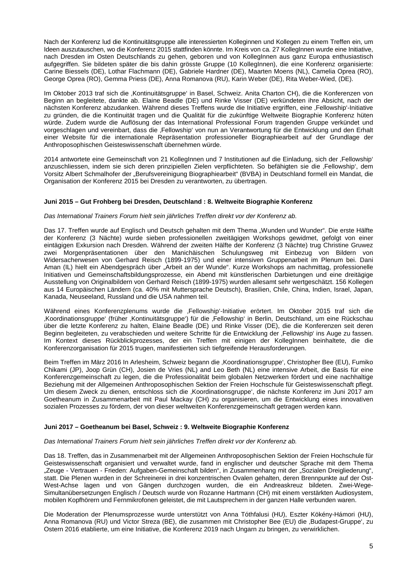Nach der Konferenz lud die Kontinuitätsgruppe alle interessierten Kolleginnen und Kollegen zu einem Treffen ein, um Ideen auszutauschen, wo die Konferenz 2015 stattfinden könnte. Im Kreis von ca. 27 KollegInnen wurde eine Initiative, nach Dresden im Osten Deutschlands zu gehen, geboren und von KollegInnen aus ganz Europa enthusiastisch aufgegriffen. Sie bildeten später die bis dahin grösste Gruppe (10 KollegInnen), die eine Konferenz organisierte: Carine Biessels (DE), Lothar Flachmann (DE), Gabriele Hardner (DE), Maarten Moens (NL), Camelia Oprea (RO), George Oprea (RO), Gemma Priess (DE), Anna Romanova (RU), Karin Weber (DE), Rita Weber-Wied, (DE).

Im Oktober 2013 traf sich die 'Kontinuitätsgruppe' in Basel, Schweiz. Anita Charton CH), die die Konferenzen von Beginn an begleitete, dankte ab. Elaine Beadle (DE) und Rinke Visser (DE) verkündeten ihre Absicht, nach der nächsten Konferenz abzudanken. Während dieses Treffens wurde die Initiative ergriffen, eine 'Fellowship'-Initiative zu gründen, die die Kontinuität tragen und die Qualität für die zukünftige Weltweite Biographie Konferenz hüten würde. Zudem wurde die Auflösung der das International Professional Forum tragenden Gruppe verkündet und vorgeschlagen und vereinbart, dass die 'Fellowship' von nun an Verantwortung für die Entwicklung und den Erhalt einer Website für die internationale Repräsentation professioneller Biographiearbeit auf der Grundlage der Anthroposophischen Geisteswissenschaft übernehmen würde.

2014 antwortete eine Gemeinschaft von 21 KollegInnen und 7 Institutionen auf die Einladung, sich der 'Fellowship' anzuschliessen, indem sie sich deren prinzipiellen Zielen verpflichteten. So befähigten sie die "Fellowship', dem Vorsitz Albert Schmalhofer der "Berufsvereinigung Biographiearbeit" (BVBA) in Deutschland formell ein Mandat, die Organisation der Konferenz 2015 bei Dresden zu verantworten, zu übertragen.

## **Juni 2015 – Gut Frohberg bei Dresden, Deutschland : 8. Weltweite Biographie Konferenz**

#### *Das International Trainers Forum hielt sein jährliches Treffen direkt vor der Konferenz ab.*

Das 17. Treffen wurde auf Englisch und Deutsch gehalten mit dem Thema "Wunden und Wunder". Die erste Hälfte der Konferenz (3 Nächte) wurde sieben professionellen zweitägigen Workshops gewidmet, gefolgt von einer eintägigen Exkursion nach Dresden. Während der zweiten Hälfte der Konferenz (3 Nächte) trug Christine Gruwez zwei Morgenpräsentationen über den Manichäischen Schulungsweg mit Einbezug von Bildern von Widersacherwesen von Gerhard Reisch (1899-1975) und einer intensiven Gruppenarbeit im Plenum bei. Dani Aman (IL) hielt ein Abendgespräch über "Arbeit an der Wunde". Kurze Workshops am nachmittag, professionelle Initiativen und Gemeinschaftsbildungsprozesse, ein Abend mit künstlerischen Darbietungen und eine dreitägige Ausstellung von Originalbildern von Gerhard Reisch (1899-1975) wurden allesamt sehr wertgeschätzt. 156 Kollegen aus 14 Europäischen Ländern (ca. 40% mit Muttersprache Deutsch), Brasilien, Chile, China, Indien, Israel, Japan, Kanada, Neuseeland, Russland und die USA nahmen teil.

Während eines Konferenzplenums wurde die "Fellowship'-Initiative erörtert. Im Oktober 2015 traf sich die Koordinationsgruppe' (früher ,Kontinuitätsgruppe') für die ,Fellowship' in Berlin, Deutschland, um eine Rückschau über die letzte Konferenz zu halten, Elaine Beadle (DE) und Rinke Visser (DE), die die Konferenzen seit deren Beginn begleiteten, zu verabschieden und weitere Schritte für die Entwicklung der "Fellowship' ins Auge zu fassen. Im Kontext dieses Rückblickprozesses, der ein Treffen mit einigen der KollegInnen beinhaltete, die die Konferenzorganisation für 2015 trugen, manifestierten sich tiefgreifende Herausforderungen.

Beim Treffen im März 2016 In Arlesheim, Schweiz begann die ,Koordinationsgruppe', Christopher Bee (EU), Fumiko Chikami (JP), Joop Grün (CH), Josien de Vries (NL) and Leo Beth (NL) eine intensive Arbeit, die Basis für eine Konferenzgemeinschaft zu legen, die die Professionalität beim globalen Netzwerken fördert und eine nachhaltige Beziehung mit der Allgemeinen Anthroposophischen Sektion der Freien Hochschule für Geisteswissenschaft pflegt. Um diesem Zweck zu dienen, entschloss sich die 'Koordinationsgruppe', die nächste Konferenz im Juni 2017 am Goetheanum in Zusammenarbeit mit Paul Mackay (CH) zu organisieren, um die Entwicklung eines innovativen sozialen Prozesses zu fördern, der von dieser weltweiten Konferenzgemeinschaft getragen werden kann.

#### **Juni 2017 – Goetheanum bei Basel, Schweiz : 9. Weltweite Biographie Konferenz**

#### *Das International Trainers Forum hielt sein jährliches Treffen direkt vor der Konferenz ab.*

Das 18. Treffen, das in Zusammenarbeit mit der Allgemeinen Anthroposophischen Sektion der Freien Hochschule für Geisteswissenschaft organisiert und verwaltet wurde, fand in englischer und deutscher Sprache mit dem Thema "Zeuge - Vertrauen - Frieden: Aufgaben-Gemeinschaft bilden", in Zusammenhang mit der "Sozialen Dreigliederung", statt. Die Plenen wurden in der Schreinerei in drei konzentrischen Ovalen gehalten, deren Brennpunkte auf der Ost-West-Achse lagen und von Gängen durchzogen wurden, die ein Andreaskreuz bildeten. Zwei-Wege-Simultanübersetzungen Englisch / Deutsch wurde von Rozanne Hartmann (CH) mit einem verstärkten Audiosystem, mobilen Kopfhörern und Fernmikrofonen geleistet, die mit Lautsprechern in der ganzen Halle verbunden waren.

Die Moderation der Plenumsprozesse wurde unterstützt von Anna Tóthfalusi (HU), Eszter Kökény-Hámori (HU), Anna Romanova (RU) und Victor Streza (BE), die zusammen mit Christopher Bee (EU) die ,Budapest-Gruppe', zu Ostern 2016 etablierte, um eine Initiative, die Konferenz 2019 nach Ungarn zu bringen, zu verwirklichen.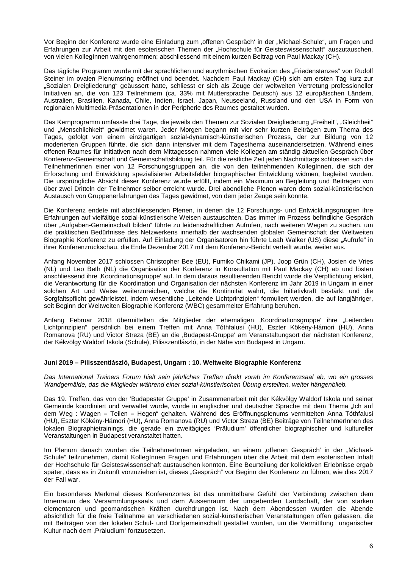Vor Beginn der Konferenz wurde eine Einladung zum 'offenen Gespräch' in der "Michael-Schule", um Fragen und Erfahrungen zur Arbeit mit den esoterischen Themen der "Hochschule für Geisteswissenschaft" auszutauschen, von vielen KollegInnen wahrgenommen; abschliessend mit einem kurzen Beitrag von Paul Mackay (CH).

Das tägliche Programm wurde mit der sprachlichen und eurythmischen Evokation des "Friedenstanzes" von Rudolf Steiner im ovalen Plenumsring eröffnet und beendet. Nachdem Paul Mackay (CH) sich am ersten Tag kurz zur "Sozialen Dreigliederung" geäussert hatte, schliesst er sich als Zeuge der weltweiten Vertretung professioneller Initiativen an, die von 123 Teilnehmern (ca. 33% mit Muttersprache Deutsch) aus 12 europäischen Ländern, Australien, Brasilien, Kanada, Chile, Indien, Israel, Japan, Neuseeland, Russland und den USA in Form von regionalen Multimedia-Präsentationen in der Peripherie des Raumes gestaltet wurden.

Das Kernprogramm umfasste drei Tage, die jeweils den Themen zur Sozialen Dreigliederung "Freiheit", "Gleichheit" und "Menschlichkeit" gewidmet waren. Jeder Morgen begann mit vier sehr kurzen Beiträgen zum Thema des Tages, gefolgt von einem einzigartigen sozial-dynamisch-künstlerischen Prozess, der zur Bildung von 12 moderierten Gruppen führte, die sich dann intensiver mit dem Tagesthema auseinandersetzten. Während eines offenen Raumes für Initiativen nach dem Mittagessen nahmen viele Kollegen am ständig aktuellen Gespräch über Konferenz-Gemeinschaft und Gemeinschaftsbildung teil. Für die restliche Zeit jeden Nachmittags schlossen sich die TeilnehmerInnen einer von 12 Forschungsgruppen an, die von den teilnehmenden KollegInnen, die sich der Erforschung und Entwicklung spezialisierter Arbeitsfelder biographischer Entwicklung widmen, begleitet wurden. Die ursprüngliche Absicht dieser Konferenz wurde erfüllt, indem ein Maximum an Begleitung und Beiträgen von über zwei Dritteln der Teilnehmer selber erreicht wurde. Drei abendliche Plenen waren dem sozial-künstlerischen Austausch von Gruppenerfahrungen des Tages gewidmet, von dem jeder Zeuge sein konnte.

Die Konferenz endete mit abschliessenden Plenen, in denen die 12 Forschungs- und Entwicklungsgruppen ihre Erfahrungen auf vielfältige sozial-künstlerische Weisen austauschten. Das immer im Prozess befindliche Gespräch über "Aufgaben-Gemeinschaft bilden" führte zu leidenschaftlichen Aufrufen, nach weiteren Wegen zu suchen, um die praktischen Bedürfnisse des Netzwerkens innerhalb der wachsenden globalen Gemeinschaft der Weltweiten Biographie Konferenz zu erfüllen. Auf Einladung der Organisatoren hin führte Leah Walker (US) diese "Aufrufe" in ihrer Konferenzrückschau, die Ende Dezember 2017 mit dem Konferenz-Bericht verteilt wurde, weiter aus.

Anfang November 2017 schlossen Christopher Bee (EU), Fumiko Chikami (JP), Joop Grün (CH), Josien de Vries (NL) und Leo Beth (NL) die Organisation der Konferenz in Konsultation mit Paul Mackay (CH) ab und lösten anschliessend ihre 'Koordinationsgruppe' auf. In dem daraus resultierenden Bericht wurde die Verpflichtung erklärt, die Verantwortung für die Koordination und Organisation der nächsten Konferenz im Jahr 2019 in Ungarn in einer solchen Art und Weise weiterzureichen, welche die Kontinuität wahrt, die Initiativkraft bestärkt und die Sorgfaltspflicht gewährleistet, indem wesentliche "Leitende Lichtprinzipien" formuliert werden, die auf langjähriger, seit Beginn der Weltweiten Biographie Konferenz (WBC) gesammelter Erfahrung beruhen.

Anfang Februar 2018 übermittelten die Mitglieder der ehemaligen 'Koordinationsgruppe' ihre "Leitenden Lichtprinzipien" persönlich bei einem Treffen mit Anna Tóthfalusi (HU), Eszter Kökény-Hámori (HU), Anna Romanova (RU) und Victor Streza (BE) an die ,Budapest-Gruppe' am Veranstaltungsort der nächsten Konferenz, der Kékvölgy Waldorf Iskola (Schule), Pilisszentlászló, in der Nähe von Budapest in Ungarn.

## **Juni 2019 – Pilisszentlászló, Budapest, Ungarn : 10. Weltweite Biographie Konferenz**

*Das International Trainers Forum hielt sein jährliches Treffen direkt vorab im Konferenzsaal ab, wo ein grosses Wandgemälde, das die Mitglieder während einer sozial-künstlerischen Übung erstellten, weiter hängenblieb.* 

Das 19. Treffen, das von der 'Budapester Gruppe' in Zusammenarbeit mit der Kékvölgy Waldorf Iskola und seiner Gemeinde koordiniert und verwaltet wurde, wurde in englischer und deutscher Sprache mit dem Thema "Ich auf dem Weg : Wagen **–** Teilen **–** Hegen" gehalten. Während des Eröffnungsplenums vermittelten Anna Tóthfalusi (HU), Eszter Kökény-Hámori (HU), Anna Romanova (RU) und Victor Streza (BE) Beiträge von TeilnehmerInnen des lokalen Biographietrainings, die gerade ein zweitägiges 'Präludium' öffentlicher biographischer und kultureller Veranstaltungen in Budapest veranstaltet hatten.

Im Plenum danach wurden die TeilnehmerInnen eingeladen, an einem <sub>o</sub>offenen Gespräch' in der "Michael-Schule" teilzunehmen, damit KollegInnen Fragen und Erfahrungen über die Arbeit mit dem esoterischen Inhalt der Hochschule für Geisteswissenschaft austauschen konnten. Eine Beurteilung der kollektiven Erlebnisse ergab später, dass es in Zukunft vorzuziehen ist, dieses "Gespräch" vor Beginn der Konferenz zu führen, wie dies 2017 der Fall war.

Ein besonderes Merkmal dieses Konferenzortes ist das unmittelbare Gefühl der Verbindung zwischen dem Innenraum des Versammlungssaals und dem Aussenraum der umgebenden Landschaft, der von starken elementaren und geomantischen Kräften durchdrungen ist. Nach dem Abendessen wurden die Abende absichtlich für die freie Teilnahme an verschiedenen sozial-künstlerischen Veranstaltungen offen gelassen, die mit Beiträgen von der lokalen Schul- und Dorfgemeinschaft gestaltet wurden, um die Vermittlung ungarischer Kultur nach dem ,Präludium' fortzusetzen.